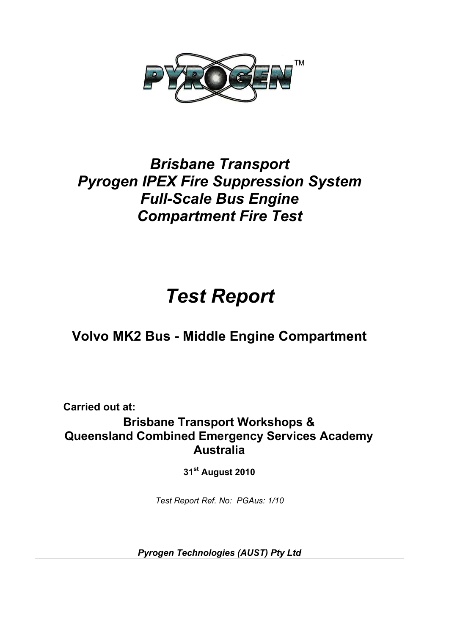

# *Brisbane Transport Pyrogen IPEX Fire Suppression System Full-Scale Bus Engine Compartment Fire Test*

# *Test Report*

## **Volvo MK2 Bus - Middle Engine Compartment**

**Carried out at: Brisbane Transport Workshops & Queensland Combined Emergency Services Academy Australia** 

**31st August 2010** 

*Test Report Ref. No: PGAus: 1/10* 

*Pyrogen Technologies (AUST) Pty Ltd*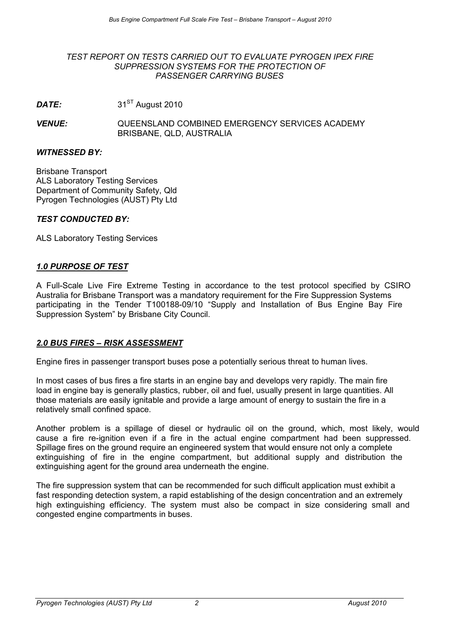#### *TEST REPORT ON TESTS CARRIED OUT TO EVALUATE PYROGEN IPEX FIRE SUPPRESSION SYSTEMS FOR THE PROTECTION OF PASSENGER CARRYING BUSES*

*DATE:* 31<sup>ST</sup> August 2010

*VENUE:* QUEENSLAND COMBINED EMERGENCY SERVICES ACADEMY BRISBANE, QLD, AUSTRALIA

#### *WITNESSED BY:*

Brisbane Transport ALS Laboratory Testing Services Department of Community Safety, Qld Pyrogen Technologies (AUST) Pty Ltd

#### *TEST CONDUCTED BY:*

ALS Laboratory Testing Services

#### *1.0 PURPOSE OF TEST*

A Full-Scale Live Fire Extreme Testing in accordance to the test protocol specified by CSIRO Australia for Brisbane Transport was a mandatory requirement for the Fire Suppression Systems participating in the Tender T100188-09/10 "Supply and Installation of Bus Engine Bay Fire Suppression System" by Brisbane City Council.

#### *2.0 BUS FIRES – RISK ASSESSMENT*

Engine fires in passenger transport buses pose a potentially serious threat to human lives.

In most cases of bus fires a fire starts in an engine bay and develops very rapidly. The main fire load in engine bay is generally plastics, rubber, oil and fuel, usually present in large quantities. All those materials are easily ignitable and provide a large amount of energy to sustain the fire in a relatively small confined space.

Another problem is a spillage of diesel or hydraulic oil on the ground, which, most likely, would cause a fire re-ignition even if a fire in the actual engine compartment had been suppressed. Spillage fires on the ground require an engineered system that would ensure not only a complete extinguishing of fire in the engine compartment, but additional supply and distribution the extinguishing agent for the ground area underneath the engine.

The fire suppression system that can be recommended for such difficult application must exhibit a fast responding detection system, a rapid establishing of the design concentration and an extremely high extinguishing efficiency. The system must also be compact in size considering small and congested engine compartments in buses.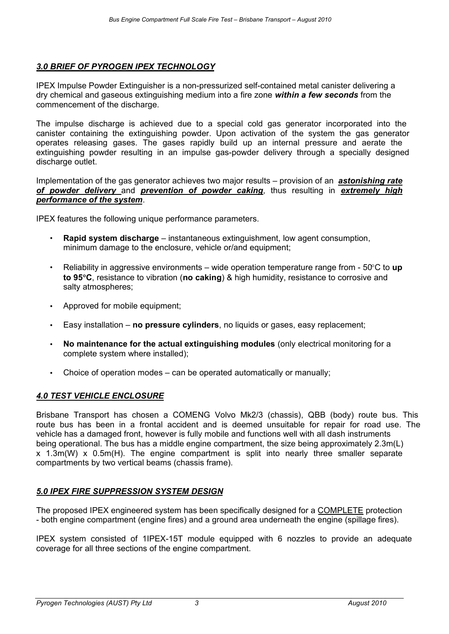#### *3.0 BRIEF OF PYROGEN IPEX TECHNOLOGY*

IPEX Impulse Powder Extinguisher is a non-pressurized self-contained metal canister delivering a dry chemical and gaseous extinguishing medium into a fire zone *within a few seconds* from the commencement of the discharge.

The impulse discharge is achieved due to a special cold gas generator incorporated into the canister containing the extinguishing powder. Upon activation of the system the gas generator operates releasing gases. The gases rapidly build up an internal pressure and aerate the extinguishing powder resulting in an impulse gas-powder delivery through a specially designed discharge outlet.

Implementation of the gas generator achieves two major results – provision of an *astonishing rate of powder delivery* and *prevention of powder caking*, thus resulting in *extremely high performance of the system*.

IPEX features the following unique performance parameters.

- **Rapid system discharge** instantaneous extinguishment, low agent consumption, minimum damage to the enclosure, vehicle or/and equipment;
- Reliability in aggressive environments wide operation temperature range from 50°C to **up to 95**°**C**, resistance to vibration (**no caking**) & high humidity, resistance to corrosive and salty atmospheres;
- Approved for mobile equipment;
- Easy installation **no pressure cylinders**, no liquids or gases, easy replacement;
- **No maintenance for the actual extinguishing modules** (only electrical monitoring for a complete system where installed);
- Choice of operation modes can be operated automatically or manually;

#### *4.0 TEST VEHICLE ENCLOSURE*

Brisbane Transport has chosen a COMENG Volvo Mk2/3 (chassis), QBB (body) route bus. This route bus has been in a frontal accident and is deemed unsuitable for repair for road use. The vehicle has a damaged front, however is fully mobile and functions well with all dash instruments being operational. The bus has a middle engine compartment, the size being approximately 2.3m(L) x 1.3m(W) x 0.5m(H). The engine compartment is split into nearly three smaller separate compartments by two vertical beams (chassis frame).

#### *5.0 IPEX FIRE SUPPRESSION SYSTEM DESIGN*

The proposed IPEX engineered system has been specifically designed for a COMPLETE protection - both engine compartment (engine fires) and a ground area underneath the engine (spillage fires).

IPEX system consisted of 1IPEX-15T module equipped with 6 nozzles to provide an adequate coverage for all three sections of the engine compartment.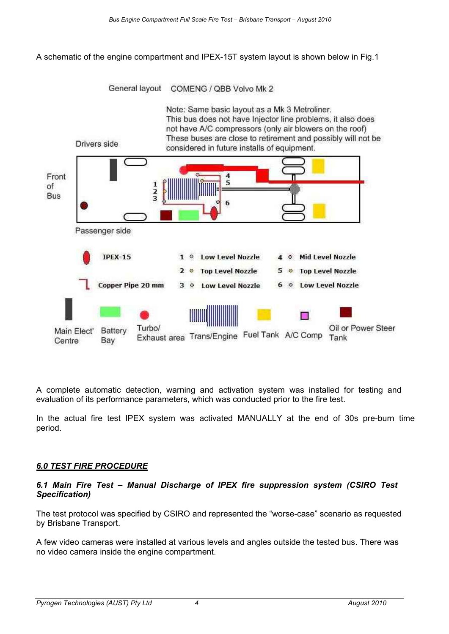A schematic of the engine compartment and IPEX-15T system layout is shown below in Fig.1



A complete automatic detection, warning and activation system was installed for testing and evaluation of its performance parameters, which was conducted prior to the fire test.

In the actual fire test IPEX system was activated MANUALLY at the end of 30s pre-burn time period.

#### *6.0 TEST FIRE PROCEDURE*

#### *6.1 Main Fire Test – Manual Discharge of IPEX fire suppression system (CSIRO Test Specification)*

The test protocol was specified by CSIRO and represented the "worse-case" scenario as requested by Brisbane Transport.

A few video cameras were installed at various levels and angles outside the tested bus. There was no video camera inside the engine compartment.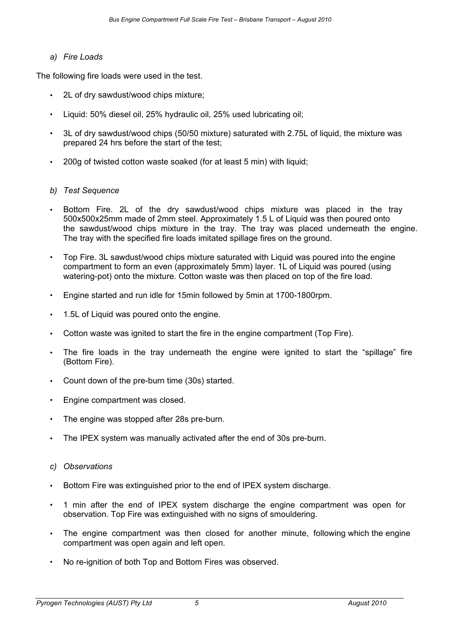#### *a) Fire Loads*

The following fire loads were used in the test.

- 2L of dry sawdust/wood chips mixture;
- Liquid: 50% diesel oil, 25% hydraulic oil, 25% used lubricating oil;
- 3L of dry sawdust/wood chips (50/50 mixture) saturated with 2.75L of liquid, the mixture was prepared 24 hrs before the start of the test;
- 200g of twisted cotton waste soaked (for at least 5 min) with liquid;

#### *b) Test Sequence*

- Bottom Fire. 2L of the dry sawdust/wood chips mixture was placed in the tray 500x500x25mm made of 2mm steel. Approximately 1.5 L of Liquid was then poured onto the sawdust/wood chips mixture in the tray. The tray was placed underneath the engine. The tray with the specified fire loads imitated spillage fires on the ground.
- Top Fire. 3L sawdust/wood chips mixture saturated with Liquid was poured into the engine compartment to form an even (approximately 5mm) layer. 1L of Liquid was poured (using watering-pot) onto the mixture. Cotton waste was then placed on top of the fire load.
- Engine started and run idle for 15min followed by 5min at 1700-1800rpm.
- 1.5L of Liquid was poured onto the engine.
- Cotton waste was ignited to start the fire in the engine compartment (Top Fire).
- The fire loads in the tray underneath the engine were ignited to start the "spillage" fire (Bottom Fire).
- Count down of the pre-burn time (30s) started.
- Engine compartment was closed.
- The engine was stopped after 28s pre-burn.
- The IPEX system was manually activated after the end of 30s pre-burn.
- *c) Observations*
- Bottom Fire was extinguished prior to the end of IPEX system discharge.
- 1 min after the end of IPEX system discharge the engine compartment was open for observation. Top Fire was extinguished with no signs of smouldering.
- The engine compartment was then closed for another minute, following which the engine compartment was open again and left open.
- No re-ignition of both Top and Bottom Fires was observed.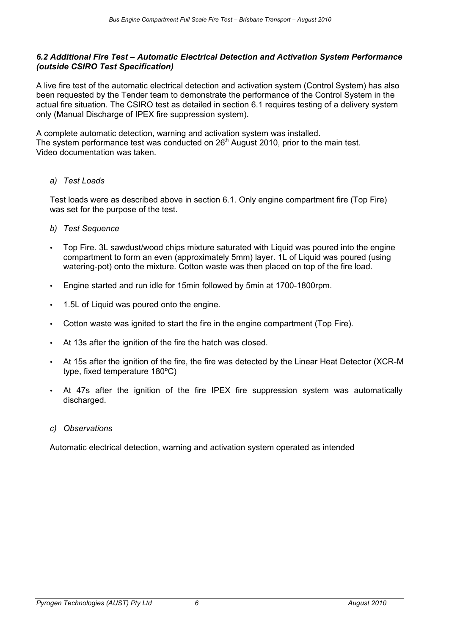#### *6.2 Additional Fire Test – Automatic Electrical Detection and Activation System Performance (outside CSIRO Test Specification)*

A live fire test of the automatic electrical detection and activation system (Control System) has also been requested by the Tender team to demonstrate the performance of the Control System in the actual fire situation. The CSIRO test as detailed in section 6.1 requires testing of a delivery system only (Manual Discharge of IPEX fire suppression system).

A complete automatic detection, warning and activation system was installed. The system performance test was conducted on  $26<sup>th</sup>$  August 2010, prior to the main test. Video documentation was taken.

#### *a) Test Loads*

Test loads were as described above in section 6.1. Only engine compartment fire (Top Fire) was set for the purpose of the test.

- *b) Test Sequence*
- Top Fire. 3L sawdust/wood chips mixture saturated with Liquid was poured into the engine compartment to form an even (approximately 5mm) layer. 1L of Liquid was poured (using watering-pot) onto the mixture. Cotton waste was then placed on top of the fire load.
- Engine started and run idle for 15min followed by 5min at 1700-1800rpm.
- 1.5L of Liquid was poured onto the engine.
- Cotton waste was ignited to start the fire in the engine compartment (Top Fire).
- At 13s after the ignition of the fire the hatch was closed.
- At 15s after the ignition of the fire, the fire was detected by the Linear Heat Detector (XCR-M type, fixed temperature 180ºC)
- At 47s after the ignition of the fire IPEX fire suppression system was automatically discharged.
- *c) Observations*

Automatic electrical detection, warning and activation system operated as intended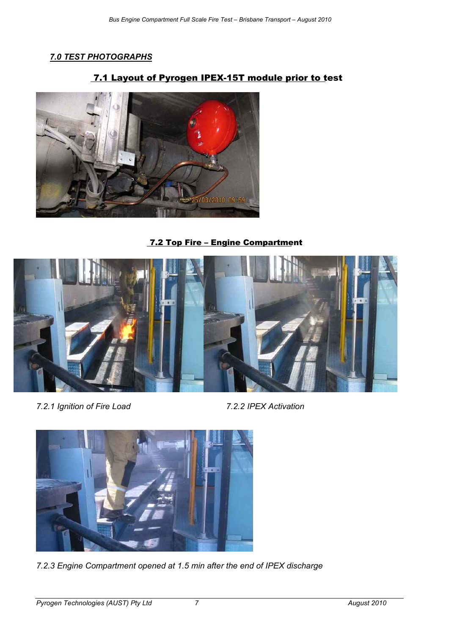## *7.0 TEST PHOTOGRAPHS*

## 7.1 Layout of Pyrogen IPEX-15T module prior to test



7.2 Top Fire – Engine Compartment



*7.2.1 Ignition of Fire Load 7.2.2 IPEX Activation* 



*7.2.3 Engine Compartment opened at 1.5 min after the end of IPEX discharge*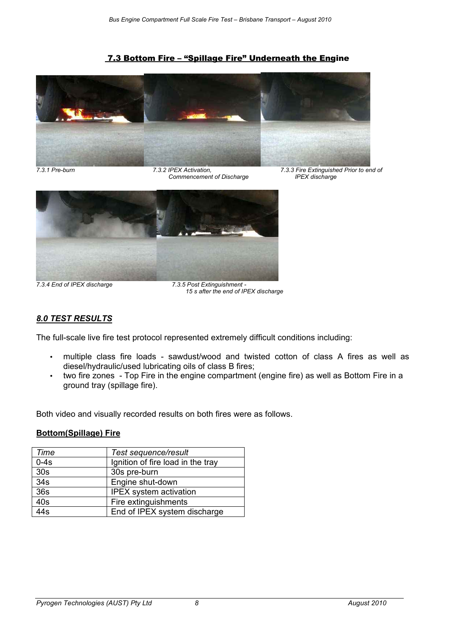#### 7.3 Bottom Fire – "Spillage Fire" Underneath the Engine



 $Commencement of Discharge$ 

*7.3.1 Pre-burn 7.3.2 IPEX Activation, 7.3.3 Fire Extinguished Prior to end of* 



*7.3.4 End of IPEX discharge 7.3.5 Post Extinguishment -* 

 *15 s after the end of IPEX discharge* 

#### *8.0 TEST RESULTS*

The full-scale live fire test protocol represented extremely difficult conditions including:

- multiple class fire loads sawdust/wood and twisted cotton of class A fires as well as diesel/hydraulic/used lubricating oils of class B fires;
- two fire zones Top Fire in the engine compartment (engine fire) as well as Bottom Fire in a ground tray (spillage fire).

Both video and visually recorded results on both fires were as follows.

#### **Bottom(Spillage) Fire**

| Time             | Test sequence/result              |
|------------------|-----------------------------------|
| $0-4s$           | Ignition of fire load in the tray |
| 30 <sub>s</sub>  | 30s pre-burn                      |
| 34 <sub>s</sub>  | Engine shut-down                  |
| 36s              | <b>IPEX</b> system activation     |
| 40s              | Fire extinguishments              |
| $\overline{44s}$ | End of IPEX system discharge      |